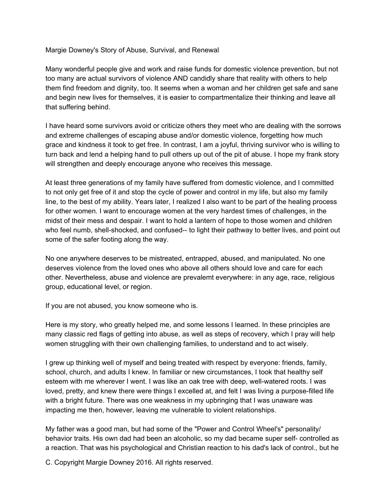Margie Downey's Story of Abuse, Survival, and Renewal

Many wonderful people give and work and raise funds for domestic violence prevention, but not too many are actual survivors of violence AND candidly share that reality with others to help them find freedom and dignity, too. It seems when a woman and her children get safe and sane and begin new lives for themselves, it is easier to compartmentalize their thinking and leave all that suffering behind.

I have heard some survivors avoid or criticize others they meet who are dealing with the sorrows and extreme challenges of escaping abuse and/or domestic violence, forgetting how much grace and kindness it took to get free. In contrast, I am a joyful, thriving survivor who is willing to turn back and lend a helping hand to pull others up out of the pit of abuse. I hope my frank story will strengthen and deeply encourage anyone who receives this message.

At least three generations of my family have suffered from domestic violence, and I committed to not only get free of it and stop the cycle of power and control in my life, but also my family line, to the best of my ability. Years later, I realized I also want to be part of the healing process for other women. I want to encourage women at the very hardest times of challenges, in the midst of their mess and despair. I want to hold a lantern of hope to those women and children who feel numb, shell-shocked, and confused-- to light their pathway to better lives, and point out some of the safer footing along the way.

No one anywhere deserves to be mistreated, entrapped, abused, and manipulated. No one deserves violence from the loved ones who above all others should love and care for each other. Nevertheless, abuse and violence are prevalemt everywhere: in any age, race, religious group, educational level, or region.

If you are not abused, you know someone who is.

Here is my story, who greatly helped me, and some lessons I learned. In these principles are many classic red flags of getting into abuse, as well as steps of recovery, which I pray will help women struggling with their own challenging families, to understand and to act wisely.

I grew up thinking well of myself and being treated with respect by everyone: friends, family, school, church, and adults I knew. In familiar or new circumstances, I took that healthy self esteem with me wherever I went. I was like an oak tree with deep, well-watered roots. I was loved, pretty, and knew there were things I excelled at, and felt I was living a purpose-filled life with a bright future. There was one weakness in my upbringing that I was unaware was impacting me then, however, leaving me vulnerable to violent relationships.

My father was a good man, but had some of the "Power and Control Wheel's" personality/ behavior traits. His own dad had been an alcoholic, so my dad became super self- controlled as a reaction. That was his psychological and Christian reaction to his dad's lack of control., but he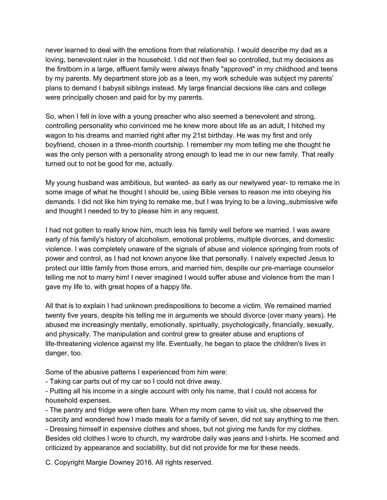never learned to deal with the emotions from that relationship. I would describe my dad as a loving, benevolent ruler in the household. I did not then feel so controlled, but my decisions as the firstborn in a large, affluent family were always finally "approved" in my childhood and teens by my parents. My department store job as a teen, my work schedule was subject my parents' plans to demand I babysit siblings instead. My large financial decsions like cars and college were principally chosen and paid for by my parents.

So, when I fell in love with a young preacher who also seemed a benevolent and strong, controlling personality who convinced me he knew more about life as an adult, I hitched my wagon to his dreams and married right after my 21st birthday. He was my first and only boyfriend, chosen in a three-month courtship. I remember my mom telling me she thought he was the only person with a personality strong enough to lead me in our new family. That really turned out to not be good for me, actually.

My young husband was ambitious, but wanted- as early as our newlywed year- to remake me in some image of what he thought I should be, using Bible verses to reason me into obeying his demands. I did not like him trying to remake me, but I was trying to be a loving,,submissive wife and thought I needed to try to please him in any request.

I had not gotten to really know him, much less his family well before we married. I was aware early of his family's history of alcoholism, emotional problems, multiple divorces, and domestic violence. I was completely unaware of the signals of abuse and violence springing from roots of power and control, as I had not known anyone like that personally. I naively expected Jesus to protect our little family from those errors, and married him, despite our pre-marriage counselor telling me not to marry him! I never imagined I would suffer abuse and violence from the man I gave my life to, with great hopes of a happy life.

All that is to explain I had unknown predispositions to become a victim. We remained married twenty five years, despite his telling me in arguments we should divorce (over many years). He abused me increasingly mentally, emotionally, spiritually, psychologically, financially, sexually, and physically. The manipulation and control grew to greater abuse and eruptions of life-threatening violence against my life. Eventually, he began to place the children's lives in danger, too.

Some of the abusive patterns I experienced from him were:

Taking car parts out of my car so I could not drive away.

 Putting all his income in a single account with only his name, that I could not access for household expenses.

 The pantry and fridge were often bare. When my mom came to visit us, she observed the scarcity and wondered how I made meals for a family of seven, did not say anything to me then. Dressing himself in expensive clothes and shoes, but not giving me funds for my clothes.

Besides old clothes I wore to church, my wardrobe daily was jeans and t-shirts. He scorned and criticized by appearance and sociability, but did not provide for me for these needs.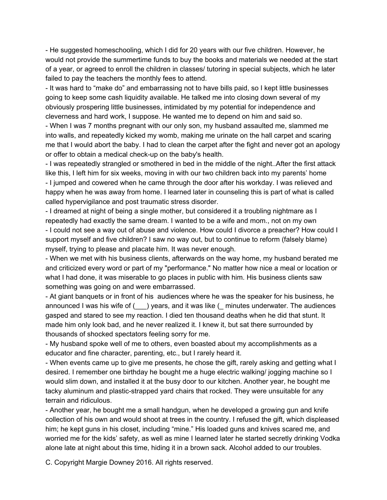- He suggested homeschooling, which I did for 20 years with our five children. However, he would not provide the summertime funds to buy the books and materials we needed at the start of a year, or agreed to enroll the children in classes/ tutoring in special subjects, which he later failed to pay the teachers the monthly fees to attend.

- It was hard to "make do" and embarrassing not to have bills paid, so I kept little businesses going to keep some cash liquidity available. He talked me into closing down several of my obviously prospering little businesses, intimidated by my potential for independence and cleverness and hard work, I suppose. He wanted me to depend on him and said so.

 When I was 7 months pregnant with our only son, my husband assaulted me, slammed me into walls, and repeatedly kicked my womb, making me urinate on the hall carpet and scaring me that I would abort the baby. I had to clean the carpet after the fight and never got an apology or offer to obtain a medical check-up on the baby's health.

- I was repeatedly strangled or smothered in bed in the middle of the night. After the first attack like this, I left him for six weeks, moving in with our two children back into my parents' home - I jumped and cowered when he came through the door after his workday. I was relieved and happy when he was away from home. I learned later in counseling this is part of what is called called hypervigilance and post traumatic stress disorder.

I dreamed at night of being a single mother, but considered it a troubling nightmare as I repeatedly had exactly the same dream. I wanted to be a wife and mom., not on my own - I could not see a way out of abuse and violence. How could I divorce a preacher? How could I support myself and five children? I saw no way out, but to continue to reform (falsely blame) myself, trying to please and placate him. It was never enough.

 When we met with his business clients, afterwards on the way home, my husband berated me and criticized every word or part of my "performance." No matter how nice a meal or location or what I had done, it was miserable to go places in public with him. His business clients saw something was going on and were embarrassed.

 At giant banquets or in front of his audiences where he was the speaker for his business, he announced I was his wife of (edgencies, and it was like (edgences underwater. The audiences gasped and stared to see my reaction. I died ten thousand deaths when he did that stunt. It made him only look bad, and he never realized it. I knew it, but sat there surrounded by thousands of shocked spectators feeling sorry for me.

 My husband spoke well of me to others, even boasted about my accomplishments as a educator and fine character, parenting, etc., but I rarely heard it.

 When events came up to give me presents, he chose the gift, rarely asking and getting what I desired. I remember one birthday he bought me a huge electric walking/ jogging machine so I would slim down, and installed it at the busy door to our kitchen. Another year, he bought me tacky aluminum and plastic-strapped yard chairs that rocked. They were unsuitable for any terrain and ridiculous.

 Another year, he bought me a small handgun, when he developed a growing gun and knife collection of his own and would shoot at trees in the country. I refused the gift, which displeased him; he kept guns in his closet, including "mine." His loaded guns and knives scared me, and worried me for the kids' safety, as well as mine I learned later he started secretly drinking Vodka alone late at night about this time, hiding it in a brown sack. Alcohol added to our troubles.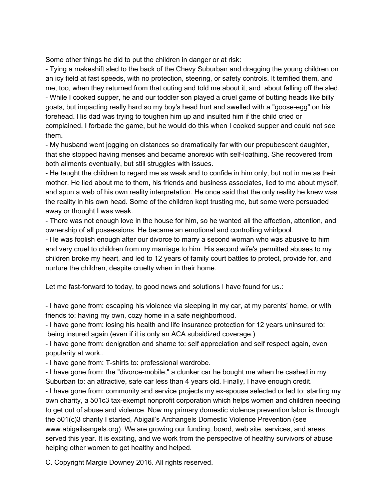Some other things he did to put the children in danger or at risk:

 Tying a makeshift sled to the back of the Chevy Suburban and dragging the young children on an icy field at fast speeds, with no protection, steering, or safety controls. It terrified them, and me, too, when they returned from that outing and told me about it, and about falling off the sled. While I cooked supper, he and our toddler son played a cruel game of butting heads like billy goats, but impacting really hard so my boy's head hurt and swelled with a "goose-egg" on his forehead. His dad was trying to toughen him up and insulted him if the child cried or complained. I forbade the game, but he would do this when I cooked supper and could not see them.

 My husband went jogging on distances so dramatically far with our prepubescent daughter, that she stopped having menses and became anorexic with self-loathing. She recovered from both ailments eventually, but still struggles with issues.

- He taught the children to regard me as weak and to confide in him only, but not in me as their mother. He lied about me to them, his friends and business associates, lied to me about myself, and spun a web of his own reality interpretation. He once said that the only reality he knew was the reality in his own head. Some of the children kept trusting me, but some were persuaded away or thought I was weak.

 There was not enough love in the house for him, so he wanted all the affection, attention, and ownership of all possessions. He became an emotional and controlling whirlpool.

- He was foolish enough after our divorce to marry a second woman who was abusive to him and very cruel to children from my marriage to him. His second wife's permitted abuses to my children broke my heart, and led to 12 years of family court battles to protect, provide for, and nurture the children, despite cruelty when in their home.

Let me fast-forward to today, to good news and solutions I have found for us.:

- I have gone from: escaping his violence via sleeping in my car, at my parents' home, or with friends to: having my own, cozy home in a safe neighborhood.

- I have gone from: losing his health and life insurance protection for 12 years uninsured to: being insured again (even if it is only an ACA subsidized coverage.)

- I have gone from: denigration and shame to: self appreciation and self respect again, even popularity at work..

- I have gone from: T-shirts to: professional wardrobe.

- I have gone from: the "divorce-mobile," a clunker car he bought me when he cashed in my Suburban to: an attractive, safe car less than 4 years old. Finally, I have enough credit.

I have gone from: community and service projects my ex-spouse selected or led to: starting my own charity, a 501c3 tax-exempt nonprofit corporation which helps women and children needing to get out of abuse and violence. Now my primary domestic violence prevention labor is through the 501(c)3 charity I started, Abigail's Archangels Domestic Violence Prevention (see www.abigailsangels.org). We are growing our funding, board, web site, services, and areas served this year. It is exciting, and we work from the perspective of healthy survivors of abuse helping other women to get healthy and helped.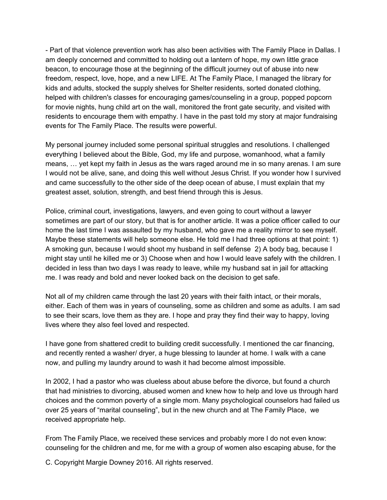Part of that violence prevention work has also been activities with The Family Place in Dallas. I am deeply concerned and committed to holding out a lantern of hope, my own little grace beacon, to encourage those at the beginning of the difficult journey out of abuse into new freedom, respect, love, hope, and a new LIFE. At The Family Place, I managed the library for kids and adults, stocked the supply shelves for Shelter residents, sorted donated clothing, helped with children's classes for encouraging games/counseling in a group, popped popcorn for movie nights, hung child art on the wall, monitored the front gate security, and visited with residents to encourage them with empathy. I have in the past told my story at major fundraising events for The Family Place. The results were powerful.

My personal journey included some personal spiritual struggles and resolutions. I challenged everything I believed about the Bible, God, my life and purpose, womanhood, what a family means, … yet kept my faith in Jesus as the wars raged around me in so many arenas. I am sure I would not be alive, sane, and doing this well without Jesus Christ. If you wonder how I survived and came successfully to the other side of the deep ocean of abuse, I must explain that my greatest asset, solution, strength, and best friend through this is Jesus.

Police, criminal court, investigations, lawyers, and even going to court without a lawyer sometimes are part of our story, but that is for another article. It was a police officer called to our home the last time I was assaulted by my husband, who gave me a reality mirror to see myself. Maybe these statements will help someone else. He told me I had three options at that point: 1) A smoking gun, because I would shoot my husband in self defense 2) A body bag, because I might stay until he killed me or 3) Choose when and how I would leave safely with the children. I decided in less than two days I was ready to leave, while my husband sat in jail for attacking me. I was ready and bold and never looked back on the decision to get safe.

Not all of my children came through the last 20 years with their faith intact, or their morals, either. Each of them was in years of counseling, some as children and some as adults. I am sad to see their scars, love them as they are. I hope and pray they find their way to happy, loving lives where they also feel loved and respected.

I have gone from shattered credit to building credit successfully. I mentioned the car financing, and recently rented a washer/ dryer, a huge blessing to launder at home. I walk with a cane now, and pulling my laundry around to wash it had become almost impossible.

In 2002, I had a pastor who was clueless about abuse before the divorce, but found a church that had ministries to divorcing, abused women and knew how to help and love us through hard choices and the common poverty of a single mom. Many psychological counselors had failed us over 25 years of "marital counseling", but in the new church and at The Family Place, we received appropriate help.

From The Family Place, we received these services and probably more I do not even know: counseling for the children and me, for me with a group of women also escaping abuse, for the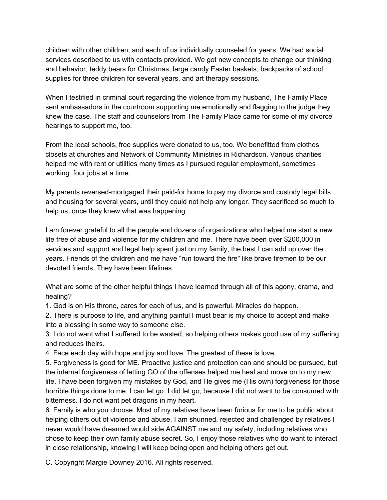children with other children, and each of us individually counseled for years. We had social services described to us with contacts provided. We got new concepts to change our thinking and behavior, teddy bears for Christmas, large candy Easter baskets, backpacks of school supplies for three children for several years, and art therapy sessions.

When I testified in criminal court regarding the violence from my husband, The Family Place sent ambassadors in the courtroom supporting me emotionally and flagging to the judge they knew the case. The staff and counselors from The Family Place came for some of my divorce hearings to support me, too.

From the local schools, free supplies were donated to us, too. We benefitted from clothes closets at churches and Network of Community Ministries in Richardson. Various charities helped me with rent or utilities many times as I pursued regular employment, sometimes working four jobs at a time.

My parents reversed-mortgaged their paid-for home to pay my divorce and custody legal bills and housing for several years, until they could not help any longer. They sacrificed so much to help us, once they knew what was happening.

I am forever grateful to all the people and dozens of organizations who helped me start a new life free of abuse and violence for my children and me. There have been over \$200,000 in services and support and legal help spent just on my family, the best I can add up over the years. Friends of the children and me have "run toward the fire" like brave firemen to be our devoted friends. They have been lifelines.

What are some of the other helpful things I have learned through all of this agony, drama, and healing?

1. God is on His throne, cares for each of us, and is powerful. Miracles do happen.

2. There is purpose to life, and anything painful I must bear is my choice to accept and make into a blessing in some way to someone else.

3. I do not want what I suffered to be wasted, so helping others makes good use of my suffering and reduces theirs.

4. Face each day with hope and joy and love. The greatest of these is love.

5. Forgiveness is good for ME. Proactive justice and protection can and should be pursued, but the internal forgiveness of letting GO of the offenses helped me heal and move on to my new life. I have been forgiven my mistakes by God, and He gives me (His own) forgiveness for those horrible things done to me. I can let go. I did let go, because I did not want to be consumed with bitterness. I do not want pet dragons in my heart.

6. Family is who you choose. Most of my relatives have been furious for me to be public about helping others out of violence and abuse. I am shunned, rejected and challenged by relatives I never would have dreamed would side AGAINST me and my safety, including relatives who chose to keep their own family abuse secret. So, I enjoy those relatives who do want to interact in close relationship, knowing I will keep being open and helping others get out.